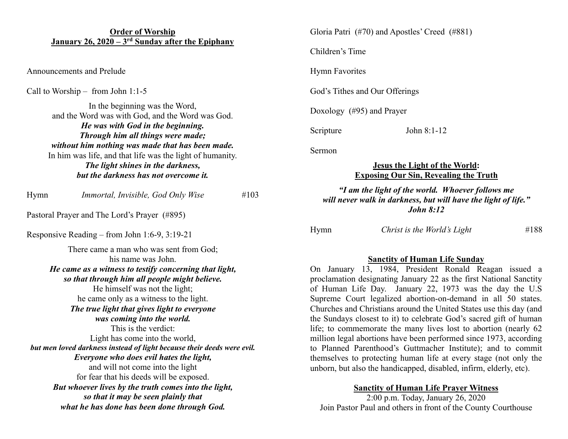#### **Order of Worship January 26, 2020 – 3rd Sunday after the Epiphany**

Announcements and Prelude

Call to Worship – from John 1:1-5

In the beginning was the Word, and the Word was with God, and the Word was God. *He was with God in the beginning. Through him all things were made; without him nothing was made that has been made.* In him was life, and that life was the light of humanity. *The light shines in the darkness, but the darkness has not overcome it.* Hymn *Immortal, Invisible, God Only Wise* #103 Pastoral Prayer and The Lord's Prayer (#895) Responsive Reading – from John 1:6-9, 3:19-21 There came a man who was sent from God; his name was John. *He came as a witness to testify concerning that light, so that through him all people might believe.* He himself was not the light; he came only as a witness to the light. *The true light that gives light to everyone was coming into the world.* This is the verdict: Light has come into the world, *but men loved darkness instead of light because their deeds were evil. Everyone who does evil hates the light,* and will not come into the light for fear that his deeds will be exposed. *But whoever lives by the truth comes into the light, so that it may be seen plainly that*

*what he has done has been done through God.*

Gloria Patri (#70) and Apostles' Creed (#881)

Children's Time

Hymn Favorites

God's Tithes and Our Offerings

Doxology (#95) and Prayer

Scripture John 8:1-12

Sermon

## **Jesus the Light of the World: Exposing Our Sin, Revealing the Truth**

### *"I am the light of the world. Whoever follows me will never walk in darkness, but will have the light of life." John 8:12*

Hymn *Christ is the World's Light* #188

## **Sanctity of Human Life Sunday**

On January 13, 1984, President Ronald Reagan issued a proclamation designating January 22 as the first National Sanctity of Human Life Day. January 22, 1973 was the day the U.S Supreme Court legalized abortion-on-demand in all 50 states. Churches and Christians around the United States use this day (and the Sundays closest to it) to celebrate God's sacred gift of human life; to commemorate the many lives lost to abortion (nearly 62 million legal abortions have been performed since 1973, according to Planned Parenthood's Guttmacher Institute); and to commit themselves to protecting human life at every stage (not only the unborn, but also the handicapped, disabled, infirm, elderly, etc).

### **Sanctity of Human Life Prayer Witness**

2:00 p.m. Today, January 26, 2020 Join Pastor Paul and others in front of the County Courthouse